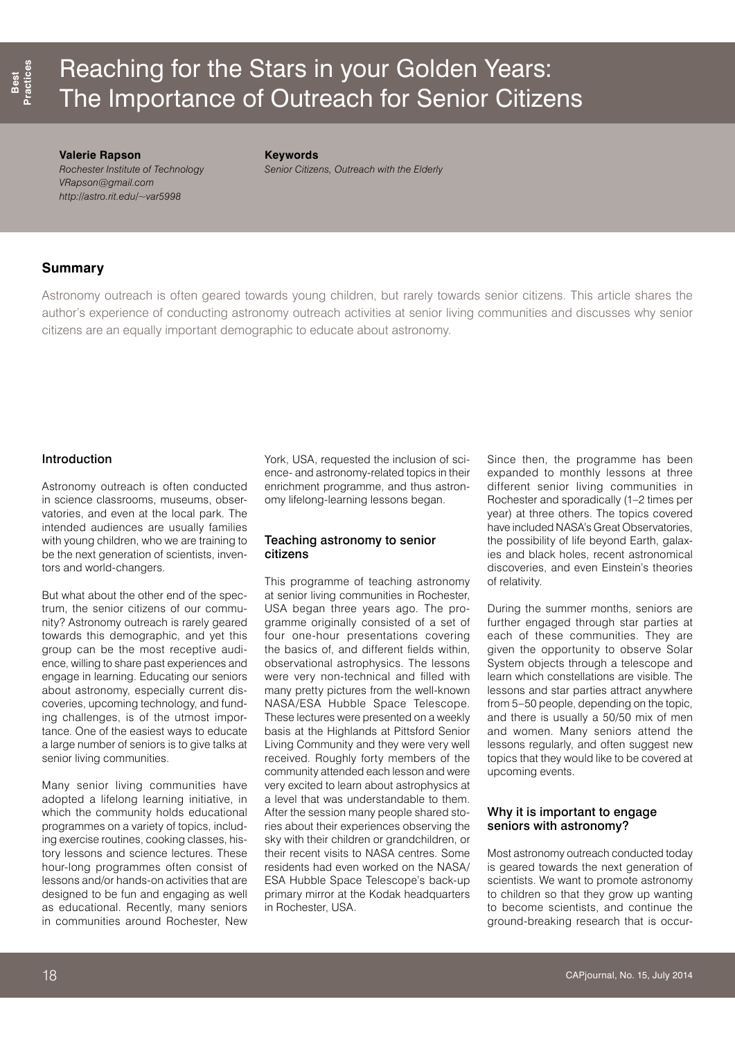# Reaching for the Stars in your Golden Years: The Importance of Outreach for Senior Citizens

#### **Valerie Rapson**

*Rochester Institute of Technology VRapson@gmail.com http://astro.rit.edu/~var5998*

**Keywords**

*Senior Citizens, Outreach with the Elderly*

# **Summary**

Astronomy outreach is often geared towards young children, but rarely towards senior citizens. This article shares the author's experience of conducting astronomy outreach activities at senior living communities and discusses why senior citizens are an equally important demographic to educate about astronomy.

## Introduction

Astronomy outreach is often conducted in science classrooms, museums, observatories, and even at the local park. The intended audiences are usually families with young children, who we are training to be the next generation of scientists, inventors and world-changers.

But what about the other end of the spectrum, the senior citizens of our community? Astronomy outreach is rarely geared towards this demographic, and yet this group can be the most receptive audience, willing to share past experiences and engage in learning. Educating our seniors about astronomy, especially current discoveries, upcoming technology, and funding challenges, is of the utmost importance. One of the easiest ways to educate a large number of seniors is to give talks at senior living communities.

Many senior living communities have adopted a lifelong learning initiative, in which the community holds educational programmes on a variety of topics, including exercise routines, cooking classes, history lessons and science lectures. These hour-long programmes often consist of lessons and/or hands-on activities that are designed to be fun and engaging as well as educational. Recently, many seniors in communities around Rochester, New

York, USA, requested the inclusion of science- and astronomy-related topics in their enrichment programme, and thus astronomy lifelong-learning lessons began.

## Teaching astronomy to senior citizens

This programme of teaching astronomy at senior living communities in Rochester, USA began three years ago. The programme originally consisted of a set of four one-hour presentations covering the basics of, and different fields within, observational astrophysics. The lessons were very non-technical and filled with many pretty pictures from the well-known NASA/ESA Hubble Space Telescope. These lectures were presented on a weekly basis at the Highlands at Pittsford Senior Living Community and they were very well received. Roughly forty members of the community attended each lesson and were very excited to learn about astrophysics at a level that was understandable to them. After the session many people shared stories about their experiences observing the sky with their children or grandchildren, or their recent visits to NASA centres. Some residents had even worked on the NASA/ ESA Hubble Space Telescope's back-up primary mirror at the Kodak headquarters in Rochester, USA.

Since then, the programme has been expanded to monthly lessons at three different senior living communities in Rochester and sporadically (1–2 times per year) at three others. The topics covered have included NASA's Great Observatories, the possibility of life beyond Earth, galaxies and black holes, recent astronomical discoveries, and even Einstein's theories of relativity.

During the summer months, seniors are further engaged through star parties at each of these communities. They are given the opportunity to observe Solar System objects through a telescope and learn which constellations are visible. The lessons and star parties attract anywhere from 5–50 people, depending on the topic, and there is usually a 50/50 mix of men and women. Many seniors attend the lessons regularly, and often suggest new topics that they would like to be covered at upcoming events.

## Why it is important to engage seniors with astronomy?

Most astronomy outreach conducted today is geared towards the next generation of scientists. We want to promote astronomy to children so that they grow up wanting to become scientists, and continue the ground-breaking research that is occur-